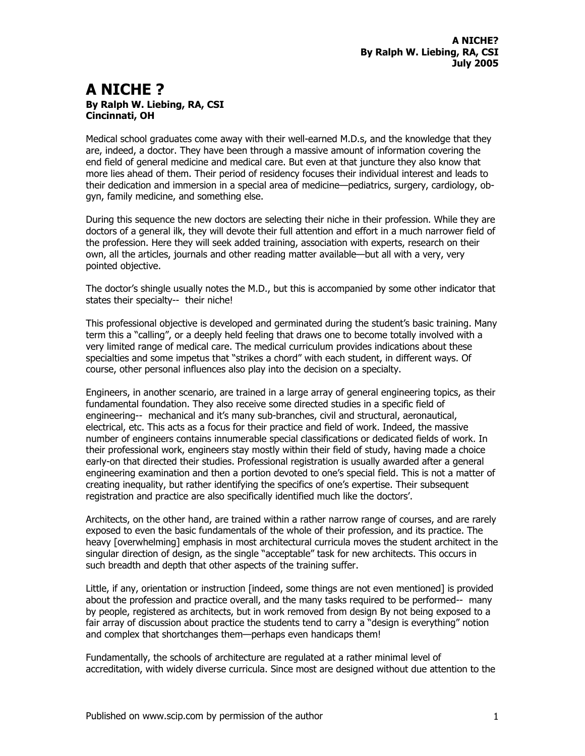## **A NICHE ? By Ralph W. Liebing, RA, CSI Cincinnati, OH**

Medical school graduates come away with their well-earned M.D.s, and the knowledge that they are, indeed, a doctor. They have been through a massive amount of information covering the end field of general medicine and medical care. But even at that juncture they also know that more lies ahead of them. Their period of residency focuses their individual interest and leads to their dedication and immersion in a special area of medicine—pediatrics, surgery, cardiology, obgyn, family medicine, and something else.

During this sequence the new doctors are selecting their niche in their profession. While they are doctors of a general ilk, they will devote their full attention and effort in a much narrower field of the profession. Here they will seek added training, association with experts, research on their own, all the articles, journals and other reading matter available—but all with a very, very pointed objective.

The doctor's shingle usually notes the M.D., but this is accompanied by some other indicator that states their specialty-- their niche!

This professional objective is developed and germinated during the student's basic training. Many term this a "calling", or a deeply held feeling that draws one to become totally involved with a very limited range of medical care. The medical curriculum provides indications about these specialties and some impetus that "strikes a chord" with each student, in different ways. Of course, other personal influences also play into the decision on a specialty.

Engineers, in another scenario, are trained in a large array of general engineering topics, as their fundamental foundation. They also receive some directed studies in a specific field of engineering-- mechanical and it's many sub-branches, civil and structural, aeronautical, electrical, etc. This acts as a focus for their practice and field of work. Indeed, the massive number of engineers contains innumerable special classifications or dedicated fields of work. In their professional work, engineers stay mostly within their field of study, having made a choice early-on that directed their studies. Professional registration is usually awarded after a general engineering examination and then a portion devoted to one's special field. This is not a matter of creating inequality, but rather identifying the specifics of one's expertise. Their subsequent registration and practice are also specifically identified much like the doctors'.

Architects, on the other hand, are trained within a rather narrow range of courses, and are rarely exposed to even the basic fundamentals of the whole of their profession, and its practice. The heavy [overwhelming] emphasis in most architectural curricula moves the student architect in the singular direction of design, as the single "acceptable" task for new architects. This occurs in such breadth and depth that other aspects of the training suffer.

Little, if any, orientation or instruction [indeed, some things are not even mentioned] is provided about the profession and practice overall, and the many tasks required to be performed-- many by people, registered as architects, but in work removed from design By not being exposed to a fair array of discussion about practice the students tend to carry a "design is everything" notion and complex that shortchanges them—perhaps even handicaps them!

Fundamentally, the schools of architecture are regulated at a rather minimal level of accreditation, with widely diverse curricula. Since most are designed without due attention to the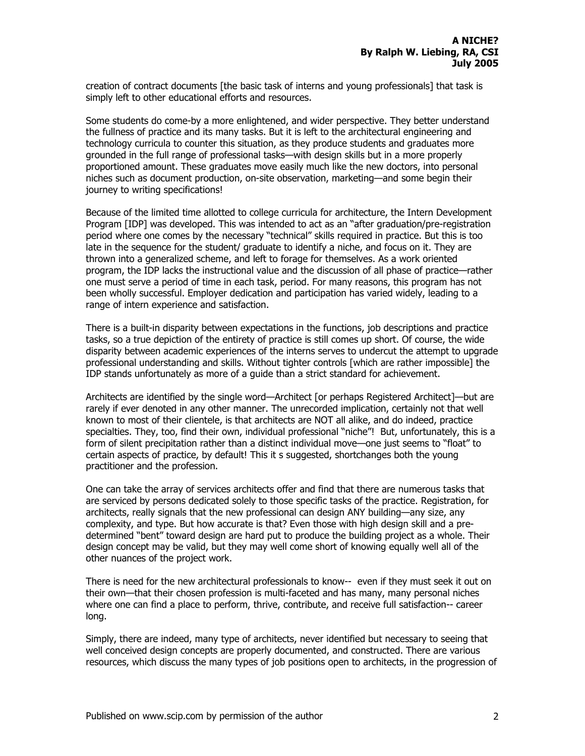creation of contract documents [the basic task of interns and young professionals] that task is simply left to other educational efforts and resources.

Some students do come-by a more enlightened, and wider perspective. They better understand the fullness of practice and its many tasks. But it is left to the architectural engineering and technology curricula to counter this situation, as they produce students and graduates more grounded in the full range of professional tasks—with design skills but in a more properly proportioned amount. These graduates move easily much like the new doctors, into personal niches such as document production, on-site observation, marketing—and some begin their journey to writing specifications!

Because of the limited time allotted to college curricula for architecture, the Intern Development Program [IDP] was developed. This was intended to act as an "after graduation/pre-registration period where one comes by the necessary "technical" skills required in practice. But this is too late in the sequence for the student/ graduate to identify a niche, and focus on it. They are thrown into a generalized scheme, and left to forage for themselves. As a work oriented program, the IDP lacks the instructional value and the discussion of all phase of practice—rather one must serve a period of time in each task, period. For many reasons, this program has not been wholly successful. Employer dedication and participation has varied widely, leading to a range of intern experience and satisfaction.

There is a built-in disparity between expectations in the functions, job descriptions and practice tasks, so a true depiction of the entirety of practice is still comes up short. Of course, the wide disparity between academic experiences of the interns serves to undercut the attempt to upgrade professional understanding and skills. Without tighter controls [which are rather impossible] the IDP stands unfortunately as more of a guide than a strict standard for achievement.

Architects are identified by the single word—Architect [or perhaps Registered Architect]—but are rarely if ever denoted in any other manner. The unrecorded implication, certainly not that well known to most of their clientele, is that architects are NOT all alike, and do indeed, practice specialties. They, too, find their own, individual professional "niche"! But, unfortunately, this is a form of silent precipitation rather than a distinct individual move—one just seems to "float" to certain aspects of practice, by default! This it s suggested, shortchanges both the young practitioner and the profession.

One can take the array of services architects offer and find that there are numerous tasks that are serviced by persons dedicated solely to those specific tasks of the practice. Registration, for architects, really signals that the new professional can design ANY building—any size, any complexity, and type. But how accurate is that? Even those with high design skill and a predetermined "bent" toward design are hard put to produce the building project as a whole. Their design concept may be valid, but they may well come short of knowing equally well all of the other nuances of the project work.

There is need for the new architectural professionals to know-- even if they must seek it out on their own—that their chosen profession is multi-faceted and has many, many personal niches where one can find a place to perform, thrive, contribute, and receive full satisfaction-- career long.

Simply, there are indeed, many type of architects, never identified but necessary to seeing that well conceived design concepts are properly documented, and constructed. There are various resources, which discuss the many types of job positions open to architects, in the progression of